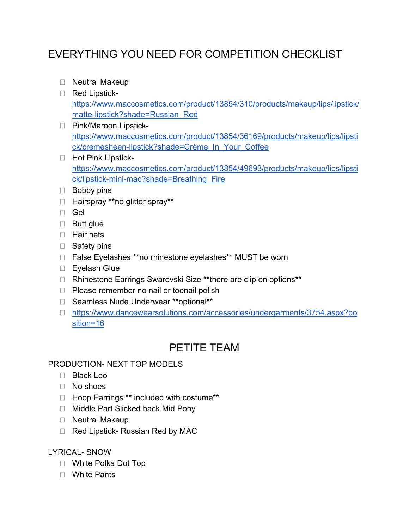# EVERYTHING YOU NEED FOR COMPETITION CHECKLIST

- □ Neutral Makeup
- Red Lipstick[https://www.maccosmetics.com/product/13854/310/products/makeup/lips/lipstick/](https://www.maccosmetics.com/product/13854/310/products/makeup/lips/lipstick/matte-lipstick?shade=Russian_Red) [matte-lipstick?shade=Russian\\_Red](https://www.maccosmetics.com/product/13854/310/products/makeup/lips/lipstick/matte-lipstick?shade=Russian_Red)
- □ Pink/Maroon Lipstick[https://www.maccosmetics.com/product/13854/36169/products/makeup/lips/lipsti](https://www.maccosmetics.com/product/13854/36169/products/makeup/lips/lipstick/cremesheen-lipstick?shade=Cr%C3%A8me_In_Your_Coffee) [ck/cremesheen-lipstick?shade=Crème\\_In\\_Your\\_Coffee](https://www.maccosmetics.com/product/13854/36169/products/makeup/lips/lipstick/cremesheen-lipstick?shade=Cr%C3%A8me_In_Your_Coffee)
- □ Hot Pink Lipstick[https://www.maccosmetics.com/product/13854/49693/products/makeup/lips/lipsti](https://www.maccosmetics.com/product/13854/49693/products/makeup/lips/lipstick/lipstick-mini-mac?shade=Breathing_Fire) [ck/lipstick-mini-mac?shade=Breathing\\_Fire](https://www.maccosmetics.com/product/13854/49693/products/makeup/lips/lipstick/lipstick-mini-mac?shade=Breathing_Fire)
- **Bobby pins**
- □ Hairspray \*\*no glitter spray\*\*
- Gel
- □ Butt glue
- **Hair nets**
- □ Safety pins
- □ False Eyelashes \*\*no rhinestone eyelashes\*\* MUST be worn
- □ Eyelash Glue
- □ Rhinestone Earrings Swarovski Size \*\*there are clip on options\*\*
- $\Box$  Please remember no nail or toenail polish
- □ Seamless Nude Underwear \*\*optional\*\*
- [https://www.dancewearsolutions.com/accessories/undergarments/3754.aspx?po](https://www.dancewearsolutions.com/accessories/undergarments/3754.aspx?position=16) [sition=16](https://www.dancewearsolutions.com/accessories/undergarments/3754.aspx?position=16)

## PETITE TEAM

### PRODUCTION- NEXT TOP MODELS

- □ Black Leo
- □ No shoes
- □ Hoop Earrings \*\* included with costume\*\*
- □ Middle Part Slicked back Mid Pony
- Neutral Makeup
- □ Red Lipstick- Russian Red by MAC

LYRICAL- SNOW

- □ White Polka Dot Top
- White Pants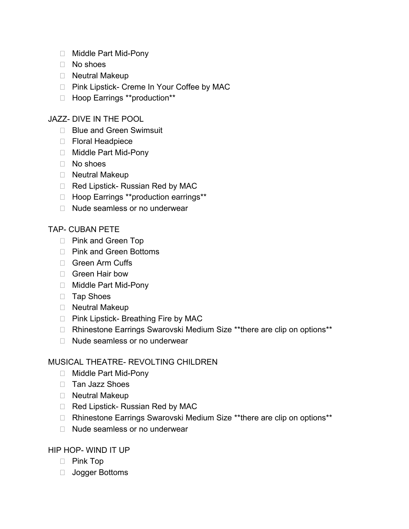- □ Middle Part Mid-Pony
- No shoes
- □ Neutral Makeup
- □ Pink Lipstick- Creme In Your Coffee by MAC
- □ Hoop Earrings \*\*production\*\*

#### JAZZ- DIVE IN THE POOL

- □ Blue and Green Swimsuit
- □ Floral Headpiece
- □ Middle Part Mid-Pony
- No shoes
- □ Neutral Makeup
- □ Red Lipstick- Russian Red by MAC
- □ Hoop Earrings \*\*production earrings\*\*
- □ Nude seamless or no underwear

#### TAP- CUBAN PETE

- □ Pink and Green Top
- □ Pink and Green Bottoms
- □ Green Arm Cuffs
- □ Green Hair bow
- □ Middle Part Mid-Pony
- □ Tap Shoes
- □ Neutral Makeup
- □ Pink Lipstick- Breathing Fire by MAC
- □ Rhinestone Earrings Swarovski Medium Size \*\*there are clip on options\*\*
- $\Box$  Nude seamless or no underwear

#### MUSICAL THEATRE- REVOLTING CHILDREN

- □ Middle Part Mid-Pony
- □ Tan Jazz Shoes
- □ Neutral Makeup
- □ Red Lipstick- Russian Red by MAC
- □ Rhinestone Earrings Swarovski Medium Size \*\*there are clip on options\*\*
- □ Nude seamless or no underwear

#### HIP HOP- WIND IT UP

- Pink Top
- □ Jogger Bottoms